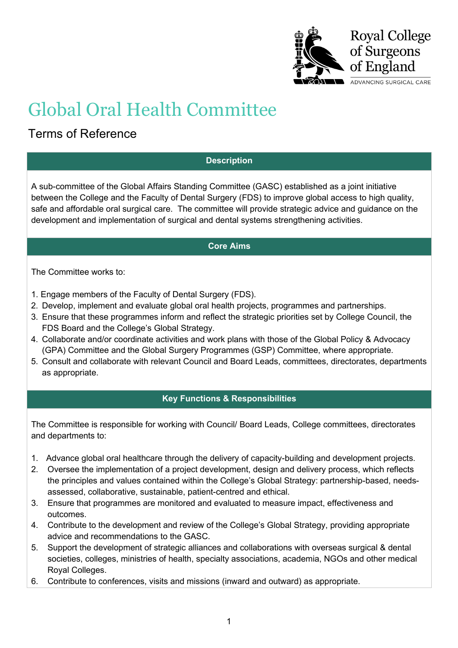

# Global Oral Health Committee

## Terms of Reference

#### **Description**

A sub-committee of the Global Affairs Standing Committee (GASC) established as a joint initiative between the College and the Faculty of Dental Surgery (FDS) to improve global access to high quality, safe and affordable oral surgical care. The committee will provide strategic advice and guidance on the development and implementation of surgical and dental systems strengthening activities.

#### **Core Aims**

The Committee works to:

- 1. Engage members of the Faculty of Dental Surgery (FDS).
- 2. Develop, implement and evaluate global oral health projects, programmes and partnerships.
- 3. Ensure that these programmes inform and reflect the strategic priorities set by College Council, the FDS Board and the College's Global Strategy.
- 4. Collaborate and/or coordinate activities and work plans with those of the Global Policy & Advocacy (GPA) Committee and the Global Surgery Programmes (GSP) Committee, where appropriate.
- 5. Consult and collaborate with relevant Council and Board Leads, committees, directorates, departments as appropriate.

### **Key Functions & Responsibilities**

The Committee is responsible for working with Council/ Board Leads, College committees, directorates and departments to:

- 1. Advance global oral healthcare through the delivery of capacity-building and development projects.
- 2. Oversee the implementation of a project development, design and delivery process, which reflects the principles and values contained within the College's Global Strategy: partnership-based, needsassessed, collaborative, sustainable, patient-centred and ethical.
- 3. Ensure that programmes are monitored and evaluated to measure impact, effectiveness and outcomes.
- 4. Contribute to the development and review of the College's Global Strategy, providing appropriate advice and recommendations to the GASC.
- 5. Support the development of strategic alliances and collaborations with overseas surgical & dental societies, colleges, ministries of health, specialty associations, academia, NGOs and other medical Royal Colleges.
- 6. Contribute to conferences, visits and missions (inward and outward) as appropriate.